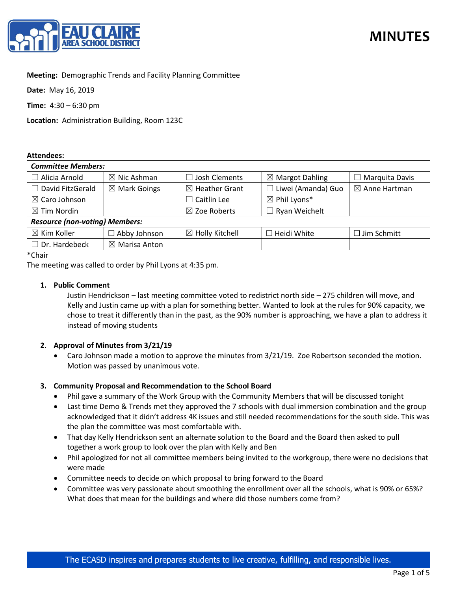

## **Meeting:** Demographic Trends and Facility Planning Committee

**Date:** May 16, 2019

**Time:** 4:30 – 6:30 pm

**Location:** Administration Building, Room 123C

#### **Attendees:**

| <b>Committee Members:</b>             |                          |                            |                                                |                          |
|---------------------------------------|--------------------------|----------------------------|------------------------------------------------|--------------------------|
| Alicia Arnold                         | $\boxtimes$ Nic Ashman   | $\Box$ Josh Clements       | $\boxtimes$ Margot Dahling                     | Marquita Davis           |
| $\Box$ David FitzGerald               | $\boxtimes$ Mark Goings  | $\boxtimes$ Heather Grant  | Liwei (Amanda) Guo<br>$\overline{\phantom{a}}$ | $\boxtimes$ Anne Hartman |
| $\boxtimes$ Caro Johnson              |                          | $\Box$ Caitlin Lee         | $\boxtimes$ Phil Lyons*                        |                          |
| $\boxtimes$ Tim Nordin                |                          | $\boxtimes$ Zoe Roberts    | $\Box$ Ryan Weichelt                           |                          |
| <b>Resource (non-voting) Members:</b> |                          |                            |                                                |                          |
| $\boxtimes$ Kim Koller                | $\Box$ Abby Johnson      | $\boxtimes$ Holly Kitchell | $\Box$ Heidi White                             | $\Box$ Jim Schmitt       |
| $\Box$ Dr. Hardebeck                  | $\boxtimes$ Marisa Anton |                            |                                                |                          |

\*Chair

The meeting was called to order by Phil Lyons at 4:35 pm.

### **1. Public Comment**

Justin Hendrickson – last meeting committee voted to redistrict north side – 275 children will move, and Kelly and Justin came up with a plan for something better. Wanted to look at the rules for 90% capacity, we chose to treat it differently than in the past, as the 90% number is approaching, we have a plan to address it instead of moving students

# **2. Approval of Minutes from 3/21/19**

• Caro Johnson made a motion to approve the minutes from 3/21/19. Zoe Robertson seconded the motion. Motion was passed by unanimous vote.

### **3. Community Proposal and Recommendation to the School Board**

- Phil gave a summary of the Work Group with the Community Members that will be discussed tonight
- Last time Demo & Trends met they approved the 7 schools with dual immersion combination and the group acknowledged that it didn't address 4K issues and still needed recommendations for the south side. This was the plan the committee was most comfortable with.
- That day Kelly Hendrickson sent an alternate solution to the Board and the Board then asked to pull together a work group to look over the plan with Kelly and Ben
- Phil apologized for not all committee members being invited to the workgroup, there were no decisions that were made
- Committee needs to decide on which proposal to bring forward to the Board
- Committee was very passionate about smoothing the enrollment over all the schools, what is 90% or 65%? What does that mean for the buildings and where did those numbers come from?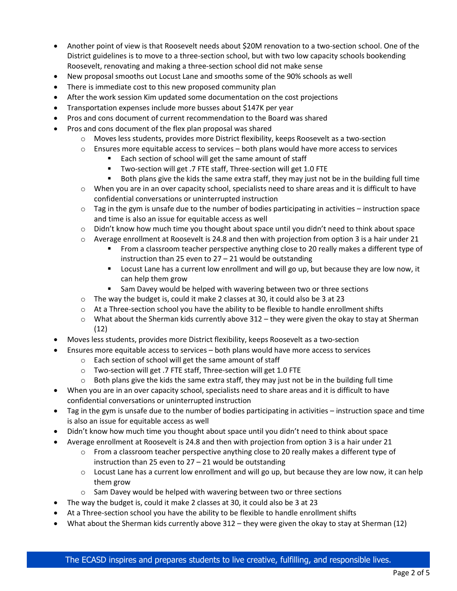- Another point of view is that Roosevelt needs about \$20M renovation to a two-section school. One of the District guidelines is to move to a three-section school, but with two low capacity schools bookending Roosevelt, renovating and making a three-section school did not make sense
- New proposal smooths out Locust Lane and smooths some of the 90% schools as well
- There is immediate cost to this new proposed community plan
- After the work session Kim updated some documentation on the cost projections
- Transportation expenses include more busses about \$147K per year
- Pros and cons document of current recommendation to the Board was shared
- Pros and cons document of the flex plan proposal was shared
	- o Moves less students, provides more District flexibility, keeps Roosevelt as a two-section
	- $\circ$  Ensures more equitable access to services both plans would have more access to services
		- Each section of school will get the same amount of staff
		- Two-section will get .7 FTE staff, Three-section will get 1.0 FTE
		- Both plans give the kids the same extra staff, they may just not be in the building full time
	- o When you are in an over capacity school, specialists need to share areas and it is difficult to have confidential conversations or uninterrupted instruction
	- $\circ$  Tag in the gym is unsafe due to the number of bodies participating in activities instruction space and time is also an issue for equitable access as well
	- o Didn't know how much time you thought about space until you didn't need to think about space
	- $\circ$  Average enrollment at Roosevelt is 24.8 and then with projection from option 3 is a hair under 21
		- From a classroom teacher perspective anything close to 20 really makes a different type of instruction than 25 even to 27 – 21 would be outstanding
		- Locust Lane has a current low enrollment and will go up, but because they are low now, it can help them grow
		- Sam Davey would be helped with wavering between two or three sections
	- o The way the budget is, could it make 2 classes at 30, it could also be 3 at 23
	- $\circ$  At a Three-section school you have the ability to be flexible to handle enrollment shifts
	- $\circ$  What about the Sherman kids currently above 312 they were given the okay to stay at Sherman (12)
- Moves less students, provides more District flexibility, keeps Roosevelt as a two-section
- Ensures more equitable access to services both plans would have more access to services
	- o Each section of school will get the same amount of staff
	- o Two-section will get .7 FTE staff, Three-section will get 1.0 FTE
	- $\circ$  Both plans give the kids the same extra staff, they may just not be in the building full time
- When you are in an over capacity school, specialists need to share areas and it is difficult to have confidential conversations or uninterrupted instruction
- Tag in the gym is unsafe due to the number of bodies participating in activities instruction space and time is also an issue for equitable access as well
- Didn't know how much time you thought about space until you didn't need to think about space
- Average enrollment at Roosevelt is 24.8 and then with projection from option 3 is a hair under 21
	- $\circ$  From a classroom teacher perspective anything close to 20 really makes a different type of instruction than 25 even to 27 – 21 would be outstanding
	- $\circ$  Locust Lane has a current low enrollment and will go up, but because they are low now, it can help them grow
	- o Sam Davey would be helped with wavering between two or three sections
- The way the budget is, could it make 2 classes at 30, it could also be 3 at 23
- At a Three-section school you have the ability to be flexible to handle enrollment shifts
- What about the Sherman kids currently above 312 they were given the okay to stay at Sherman (12)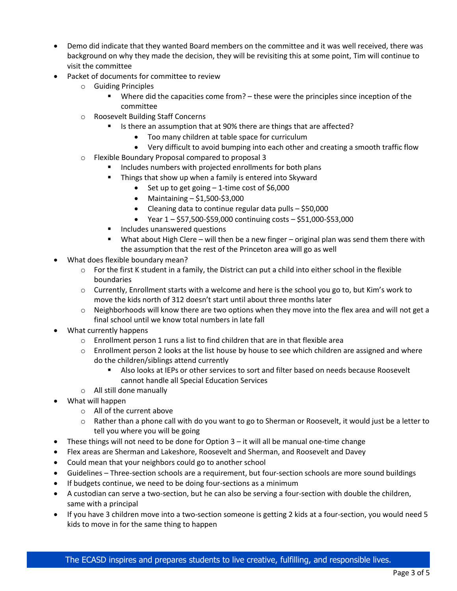- Demo did indicate that they wanted Board members on the committee and it was well received, there was background on why they made the decision, they will be revisiting this at some point, Tim will continue to visit the committee
- Packet of documents for committee to review
	- o Guiding Principles
		- Where did the capacities come from? these were the principles since inception of the committee
	- o Roosevelt Building Staff Concerns
		- Is there an assumption that at 90% there are things that are affected?
			- Too many children at table space for curriculum
		- Very difficult to avoid bumping into each other and creating a smooth traffic flow
	- o Flexible Boundary Proposal compared to proposal 3
		- Includes numbers with projected enrollments for both plans
		- Things that show up when a family is entered into Skyward
			- Set up to get going 1-time cost of \$6,000
			- Maintaining  $-$  \$1,500-\$3,000
			- Cleaning data to continue regular data pulls \$50,000
			- Year  $1 $57,500 $59,000$  continuing costs  $$51,000 $53,000$
		- Includes unanswered questions
		- What about High Clere will then be a new finger original plan was send them there with the assumption that the rest of the Princeton area will go as well
- What does flexible boundary mean?
	- $\circ$  For the first K student in a family, the District can put a child into either school in the flexible boundaries
	- o Currently, Enrollment starts with a welcome and here is the school you go to, but Kim's work to move the kids north of 312 doesn't start until about three months later
	- $\circ$  Neighborhoods will know there are two options when they move into the flex area and will not get a final school until we know total numbers in late fall
- What currently happens
	- $\circ$  Enrollment person 1 runs a list to find children that are in that flexible area
	- $\circ$  Enrollment person 2 looks at the list house by house to see which children are assigned and where do the children/siblings attend currently
		- Also looks at IEPs or other services to sort and filter based on needs because Roosevelt cannot handle all Special Education Services
	- o All still done manually
- What will happen
	- o All of the current above
	- $\circ$  Rather than a phone call with do you want to go to Sherman or Roosevelt, it would just be a letter to tell you where you will be going
- These things will not need to be done for Option 3 it will all be manual one-time change
- Flex areas are Sherman and Lakeshore, Roosevelt and Sherman, and Roosevelt and Davey
- Could mean that your neighbors could go to another school
- Guidelines Three-section schools are a requirement, but four-section schools are more sound buildings
- If budgets continue, we need to be doing four-sections as a minimum
- A custodian can serve a two-section, but he can also be serving a four-section with double the children, same with a principal
- If you have 3 children move into a two-section someone is getting 2 kids at a four-section, you would need 5 kids to move in for the same thing to happen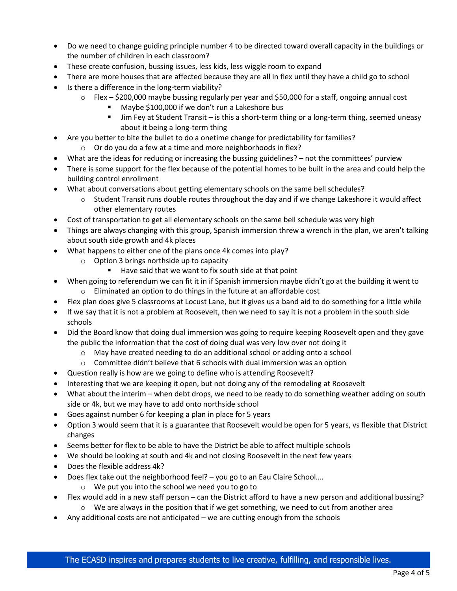- Do we need to change guiding principle number 4 to be directed toward overall capacity in the buildings or the number of children in each classroom?
- These create confusion, bussing issues, less kids, less wiggle room to expand
- There are more houses that are affected because they are all in flex until they have a child go to school
- Is there a difference in the long-term viability?
	- o Flex \$200,000 maybe bussing regularly per year and \$50,000 for a staff, ongoing annual cost
		- Maybe \$100,000 if we don't run a Lakeshore bus
		- Jim Fey at Student Transit is this a short-term thing or a long-term thing, seemed uneasy about it being a long-term thing
- Are you better to bite the bullet to do a onetime change for predictability for families?
	- o Or do you do a few at a time and more neighborhoods in flex?
- What are the ideas for reducing or increasing the bussing guidelines? not the committees' purview
- There is some support for the flex because of the potential homes to be built in the area and could help the building control enrollment
- What about conversations about getting elementary schools on the same bell schedules?
	- $\circ$  Student Transit runs double routes throughout the day and if we change Lakeshore it would affect other elementary routes
- Cost of transportation to get all elementary schools on the same bell schedule was very high
- Things are always changing with this group, Spanish immersion threw a wrench in the plan, we aren't talking about south side growth and 4k places
- What happens to either one of the plans once 4k comes into play?
	- o Option 3 brings northside up to capacity
		- Have said that we want to fix south side at that point
- When going to referendum we can fit it in if Spanish immersion maybe didn't go at the building it went to
- o Eliminated an option to do things in the future at an affordable cost
- Flex plan does give 5 classrooms at Locust Lane, but it gives us a band aid to do something for a little while
- If we say that it is not a problem at Roosevelt, then we need to say it is not a problem in the south side schools
- Did the Board know that doing dual immersion was going to require keeping Roosevelt open and they gave the public the information that the cost of doing dual was very low over not doing it
	- o May have created needing to do an additional school or adding onto a school
	- $\circ$  Committee didn't believe that 6 schools with dual immersion was an option
- Question really is how are we going to define who is attending Roosevelt?
- Interesting that we are keeping it open, but not doing any of the remodeling at Roosevelt
- What about the interim when debt drops, we need to be ready to do something weather adding on south side or 4k, but we may have to add onto northside school
- Goes against number 6 for keeping a plan in place for 5 years
- Option 3 would seem that it is a guarantee that Roosevelt would be open for 5 years, vs flexible that District changes
- Seems better for flex to be able to have the District be able to affect multiple schools
- We should be looking at south and 4k and not closing Roosevelt in the next few years
- Does the flexible address 4k?
- Does flex take out the neighborhood feel? you go to an Eau Claire School....
	- o We put you into the school we need you to go to
- Flex would add in a new staff person can the District afford to have a new person and additional bussing?
	- $\circ$  We are always in the position that if we get something, we need to cut from another area
- Any additional costs are not anticipated we are cutting enough from the schools